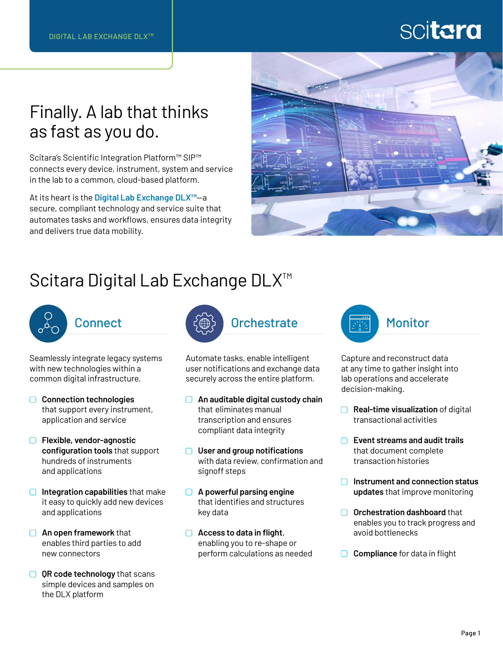# scitara

## Finally. A lab that thinks as fast as you do.

Scitara's Scientific Integration Platform™ SIP™ connects every device, instrument, system and service in the lab to a common, cloud-based platform.

At its heart is the **Digital Lab Exchange DLX™**—a secure, compliant technology and service suite that automates tasks and workflows, ensures data integrity and delivers true data mobility.



## Scitara Digital Lab Exchange DLX<sup>™</sup>



**Connect** 

Seamlessly integrate legacy systems with new technologies within a common digital infrastructure.

- **Connection technologies** that support every instrument, application and service
- **Flexible, vendor-agnostic configuration tools** that support hundreds of instruments and applications
- **Integration capabilities** that make it easy to quickly add new devices and applications
- **An open framework** that enables third parties to add new connectors
- **QR code technology** that scans simple devices and samples on the DLX platform



Automate tasks, enable intelligent user notifications and exchange data securely across the entire platform.

- **An auditable digital custody chain** that eliminates manual transcription and ensures compliant data integrity
- **User and group notifications** with data review, confirmation and signoff steps
- **A powerful parsing engine** that identifies and structures key data
- **Access to data in flight**, enabling you to re-shape or perform calculations as needed



Capture and reconstruct data at any time to gather insight into lab operations and accelerate decision-making.

- **Real-time visualization** of digital transactional activities
- **Event streams and audit trails** that document complete transaction histories
- **Instrument and connection status updates** that improve monitoring
- **O** Orchestration dashboard that enables you to track progress and avoid bottlenecks
- **□** Compliance for data in flight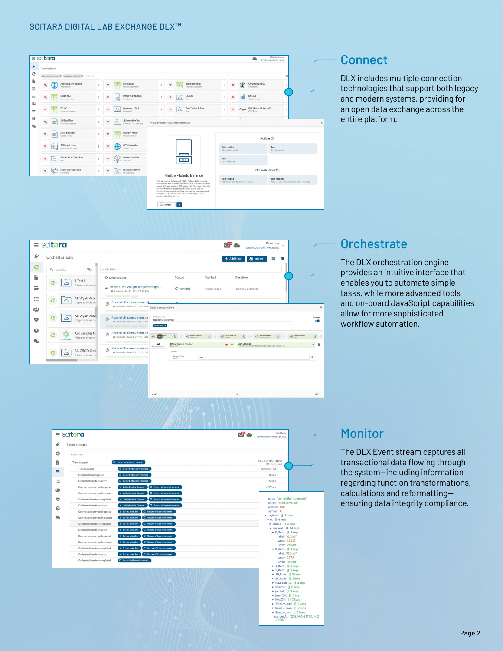



### **Orchestrate**

The DLX orchestration engine provides an intuitive interface that enables you to automate simple tasks, while more advanced tools and on-board JavaScript capabilities allow for more sophisticated workflow automation.



### **Monitor**

The DLX Event stream captures all transactional data flowing through the system—including information regarding function transformations, calculations and reformatting ensuring data integrity compliance.